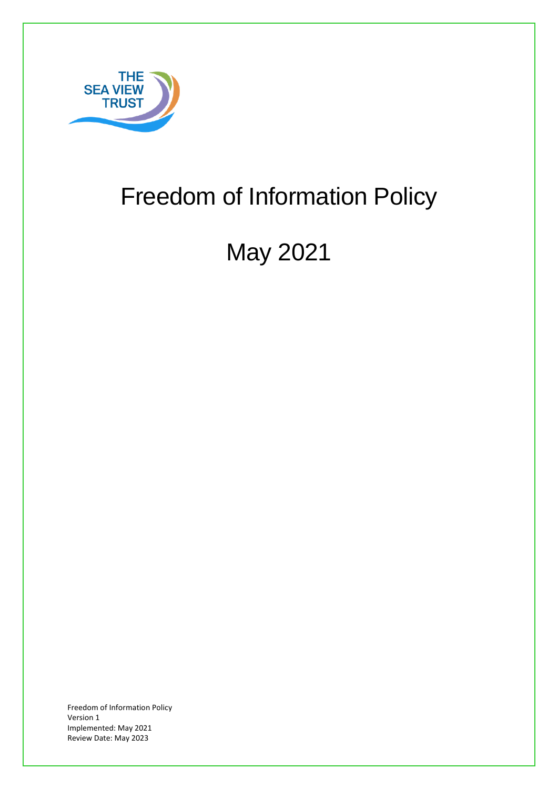

# Freedom of Information Policy

# May 2021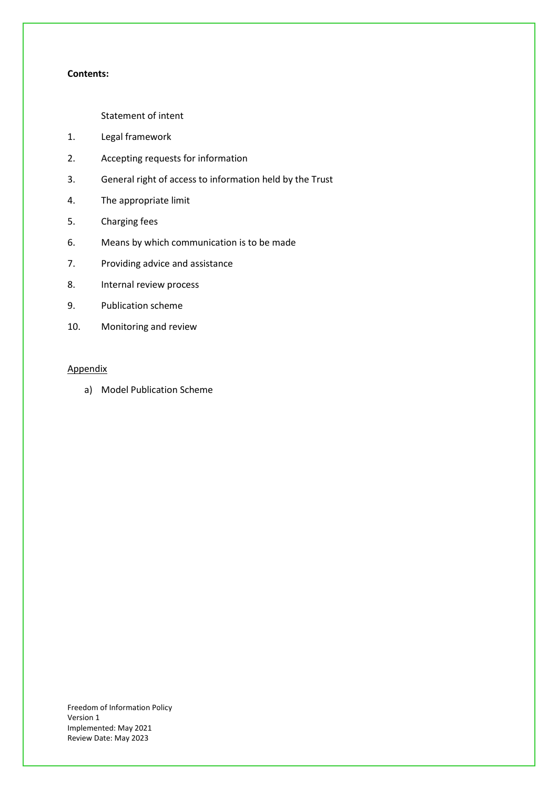#### **Contents:**

Statement of intent

- 1. Legal framework
- 2. Accepting requests for information
- 3. General right of access to information held by the Trust
- 4. The appropriate limit
- 5. Charging fees
- 6. Means by which communication is to be made
- 7. Providing advice and assistance
- 8. Internal review process
- 9. Publication scheme
- 10. Monitoring and review

#### **Appendix**

a) Model Publication Scheme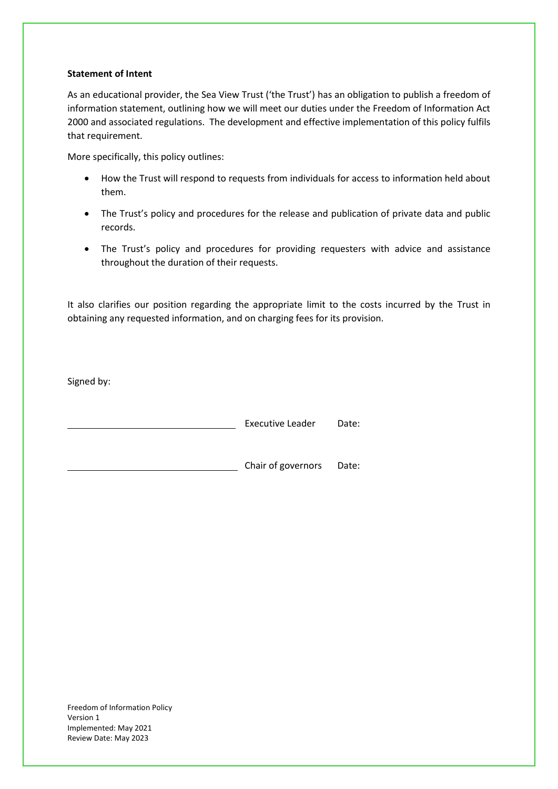#### **Statement of Intent**

As an educational provider, the Sea View Trust ('the Trust') has an obligation to publish a freedom of information statement, outlining how we will meet our duties under the Freedom of Information Act 2000 and associated regulations. The development and effective implementation of this policy fulfils that requirement.

More specifically, this policy outlines:

- How the Trust will respond to requests from individuals for access to information held about them.
- The Trust's policy and procedures for the release and publication of private data and public records.
- The Trust's policy and procedures for providing requesters with advice and assistance throughout the duration of their requests.

It also clarifies our position regarding the appropriate limit to the costs incurred by the Trust in obtaining any requested information, and on charging fees for its provision.

Signed by:

| <b>Executive Leader</b> | Date: |
|-------------------------|-------|
|                         |       |

Chair of governors Date: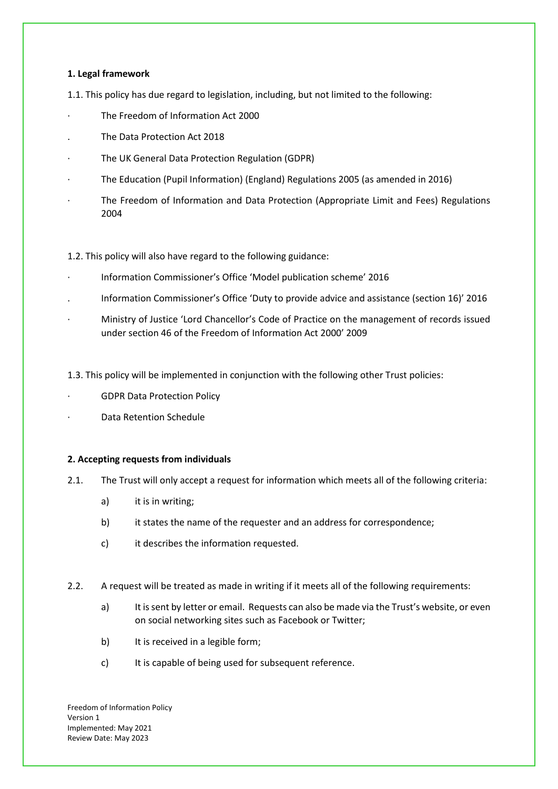#### **1. Legal framework**

- 1.1. This policy has due regard to legislation, including, but not limited to the following:
- The Freedom of Information Act 2000
- . The Data Protection Act 2018
- The UK General Data Protection Regulation (GDPR)
- · The Education (Pupil Information) (England) Regulations 2005 (as amended in 2016)
- · The Freedom of Information and Data Protection (Appropriate Limit and Fees) Regulations 2004
- 1.2. This policy will also have regard to the following guidance:
- · Information Commissioner's Office 'Model publication scheme' 2016
- . Information Commissioner's Office 'Duty to provide advice and assistance (section 16)' 2016
- · Ministry of Justice 'Lord Chancellor's Code of Practice on the management of records issued under section 46 of the Freedom of Information Act 2000' 2009
- 1.3. This policy will be implemented in conjunction with the following other Trust policies:
- · GDPR Data Protection Policy
- Data Retention Schedule

# **2. Accepting requests from individuals**

- 2.1. The Trust will only accept a request for information which meets all of the following criteria:
	- a) it is in writing;
	- b) it states the name of the requester and an address for correspondence;
	- c) it describes the information requested.
- 2.2. A request will be treated as made in writing if it meets all of the following requirements:
	- a) It is sent by letter or email. Requests can also be made via the Trust's website, or even on social networking sites such as Facebook or Twitter;
	- b) It is received in a legible form;
	- c) It is capable of being used for subsequent reference.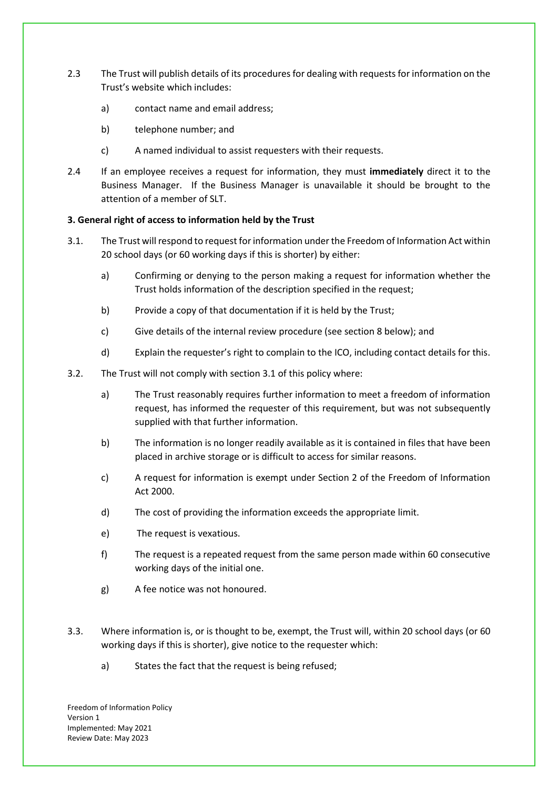- 2.3 The Trust will publish details of its procedures for dealing with requests for information on the Trust's website which includes:
	- a) contact name and email address;
	- b) telephone number; and
	- c) A named individual to assist requesters with their requests.
- 2.4 If an employee receives a request for information, they must **immediately** direct it to the Business Manager. If the Business Manager is unavailable it should be brought to the attention of a member of SLT.

# **3. General right of access to information held by the Trust**

- 3.1. The Trust will respond to request for information under the Freedom of Information Act within 20 school days (or 60 working days if this is shorter) by either:
	- a) Confirming or denying to the person making a request for information whether the Trust holds information of the description specified in the request;
	- b) Provide a copy of that documentation if it is held by the Trust;
	- c) Give details of the internal review procedure (see section 8 below); and
	- d) Explain the requester's right to complain to the ICO, including contact details for this.
- 3.2. The Trust will not comply with section 3.1 of this policy where:
	- a) The Trust reasonably requires further information to meet a freedom of information request, has informed the requester of this requirement, but was not subsequently supplied with that further information.
	- b) The information is no longer readily available as it is contained in files that have been placed in archive storage or is difficult to access for similar reasons.
	- c) A request for information is exempt under Section 2 of the Freedom of Information Act 2000.
	- d) The cost of providing the information exceeds the appropriate limit.
	- e) The request is vexatious.
	- f) The request is a repeated request from the same person made within 60 consecutive working days of the initial one.
	- g) A fee notice was not honoured.
- 3.3. Where information is, or is thought to be, exempt, the Trust will, within 20 school days (or 60 working days if this is shorter), give notice to the requester which:
	- a) States the fact that the request is being refused;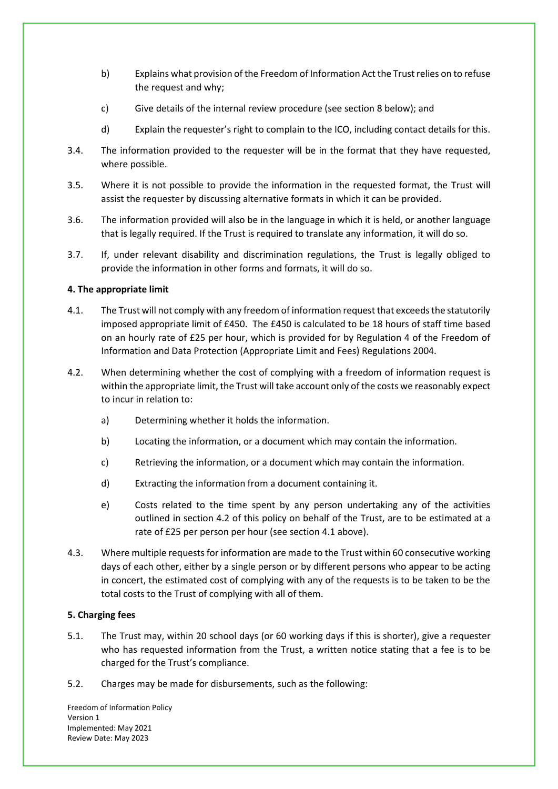- b) Explains what provision of the Freedom of Information Act the Trust relies on to refuse the request and why;
- c) Give details of the internal review procedure (see section 8 below); and
- d) Explain the requester's right to complain to the ICO, including contact details for this.
- 3.4. The information provided to the requester will be in the format that they have requested, where possible.
- 3.5. Where it is not possible to provide the information in the requested format, the Trust will assist the requester by discussing alternative formats in which it can be provided.
- 3.6. The information provided will also be in the language in which it is held, or another language that is legally required. If the Trust is required to translate any information, it will do so.
- 3.7. If, under relevant disability and discrimination regulations, the Trust is legally obliged to provide the information in other forms and formats, it will do so.

# **4. The appropriate limit**

- 4.1. The Trust will not comply with any freedom of information request that exceeds the statutorily imposed appropriate limit of £450. The £450 is calculated to be 18 hours of staff time based on an hourly rate of £25 per hour, which is provided for by Regulation 4 of the Freedom of Information and Data Protection (Appropriate Limit and Fees) Regulations 2004.
- 4.2. When determining whether the cost of complying with a freedom of information request is within the appropriate limit, the Trust will take account only of the costs we reasonably expect to incur in relation to:
	- a) Determining whether it holds the information.
	- b) Locating the information, or a document which may contain the information.
	- c) Retrieving the information, or a document which may contain the information.
	- d) Extracting the information from a document containing it.
	- e) Costs related to the time spent by any person undertaking any of the activities outlined in section 4.2 of this policy on behalf of the Trust, are to be estimated at a rate of £25 per person per hour (see section 4.1 above).
- 4.3. Where multiple requests for information are made to the Trust within 60 consecutive working days of each other, either by a single person or by different persons who appear to be acting in concert, the estimated cost of complying with any of the requests is to be taken to be the total costs to the Trust of complying with all of them.

# **5. Charging fees**

- 5.1. The Trust may, within 20 school days (or 60 working days if this is shorter), give a requester who has requested information from the Trust, a written notice stating that a fee is to be charged for the Trust's compliance.
- 5.2. Charges may be made for disbursements, such as the following: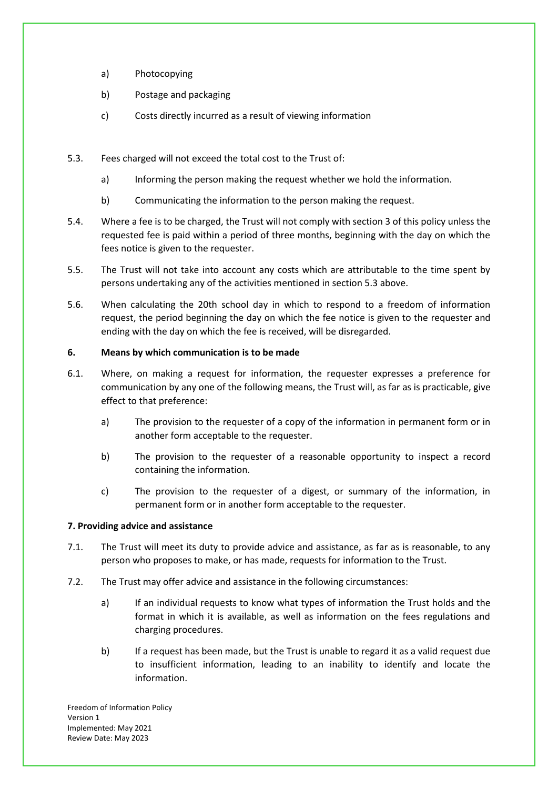- a) Photocopying
- b) Postage and packaging
- c) Costs directly incurred as a result of viewing information
- 5.3. Fees charged will not exceed the total cost to the Trust of:
	- a) Informing the person making the request whether we hold the information.
	- b) Communicating the information to the person making the request.
- 5.4. Where a fee is to be charged, the Trust will not comply with section 3 of this policy unless the requested fee is paid within a period of three months, beginning with the day on which the fees notice is given to the requester.
- 5.5. The Trust will not take into account any costs which are attributable to the time spent by persons undertaking any of the activities mentioned in section 5.3 above.
- 5.6. When calculating the 20th school day in which to respond to a freedom of information request, the period beginning the day on which the fee notice is given to the requester and ending with the day on which the fee is received, will be disregarded.

# **6. Means by which communication is to be made**

- 6.1. Where, on making a request for information, the requester expresses a preference for communication by any one of the following means, the Trust will, as far as is practicable, give effect to that preference:
	- a) The provision to the requester of a copy of the information in permanent form or in another form acceptable to the requester.
	- b) The provision to the requester of a reasonable opportunity to inspect a record containing the information.
	- c) The provision to the requester of a digest, or summary of the information, in permanent form or in another form acceptable to the requester.

# **7. Providing advice and assistance**

- 7.1. The Trust will meet its duty to provide advice and assistance, as far as is reasonable, to any person who proposes to make, or has made, requests for information to the Trust.
- 7.2. The Trust may offer advice and assistance in the following circumstances:
	- a) If an individual requests to know what types of information the Trust holds and the format in which it is available, as well as information on the fees regulations and charging procedures.
	- b) If a request has been made, but the Trust is unable to regard it as a valid request due to insufficient information, leading to an inability to identify and locate the information.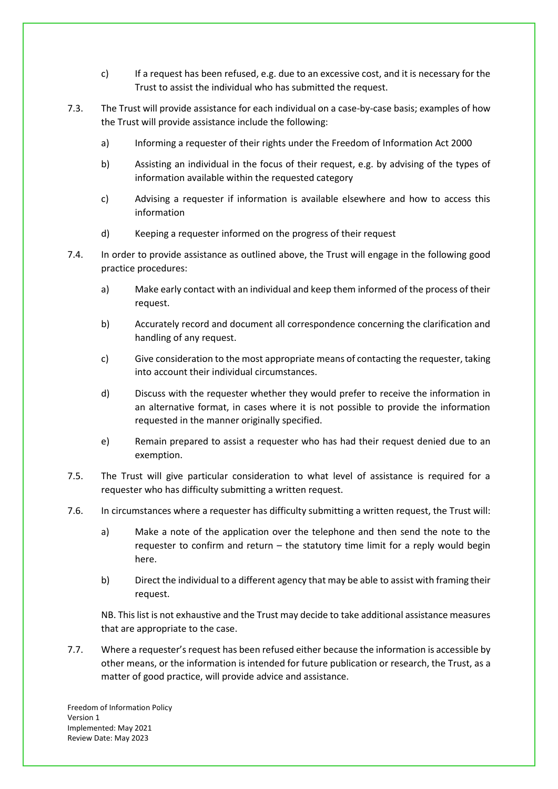- c) If a request has been refused, e.g. due to an excessive cost, and it is necessary for the Trust to assist the individual who has submitted the request.
- 7.3. The Trust will provide assistance for each individual on a case-by-case basis; examples of how the Trust will provide assistance include the following:
	- a) Informing a requester of their rights under the Freedom of Information Act 2000
	- b) Assisting an individual in the focus of their request, e.g. by advising of the types of information available within the requested category
	- c) Advising a requester if information is available elsewhere and how to access this information
	- d) Keeping a requester informed on the progress of their request
- 7.4. In order to provide assistance as outlined above, the Trust will engage in the following good practice procedures:
	- a) Make early contact with an individual and keep them informed of the process of their request.
	- b) Accurately record and document all correspondence concerning the clarification and handling of any request.
	- c) Give consideration to the most appropriate means of contacting the requester, taking into account their individual circumstances.
	- d) Discuss with the requester whether they would prefer to receive the information in an alternative format, in cases where it is not possible to provide the information requested in the manner originally specified.
	- e) Remain prepared to assist a requester who has had their request denied due to an exemption.
- 7.5. The Trust will give particular consideration to what level of assistance is required for a requester who has difficulty submitting a written request.
- 7.6. In circumstances where a requester has difficulty submitting a written request, the Trust will:
	- a) Make a note of the application over the telephone and then send the note to the requester to confirm and return – the statutory time limit for a reply would begin here.
	- b) Direct the individual to a different agency that may be able to assist with framing their request.

NB. This list is not exhaustive and the Trust may decide to take additional assistance measures that are appropriate to the case.

7.7. Where a requester's request has been refused either because the information is accessible by other means, or the information is intended for future publication or research, the Trust, as a matter of good practice, will provide advice and assistance.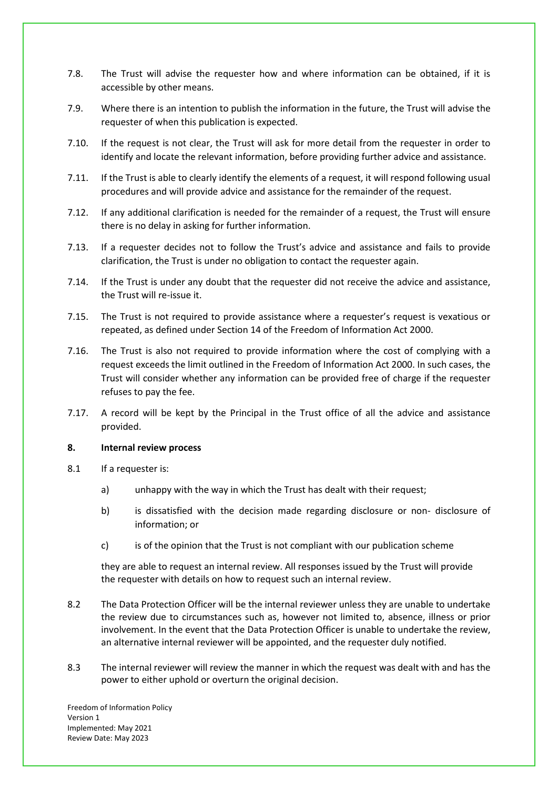- 7.8. The Trust will advise the requester how and where information can be obtained, if it is accessible by other means.
- 7.9. Where there is an intention to publish the information in the future, the Trust will advise the requester of when this publication is expected.
- 7.10. If the request is not clear, the Trust will ask for more detail from the requester in order to identify and locate the relevant information, before providing further advice and assistance.
- 7.11. If the Trust is able to clearly identify the elements of a request, it will respond following usual procedures and will provide advice and assistance for the remainder of the request.
- 7.12. If any additional clarification is needed for the remainder of a request, the Trust will ensure there is no delay in asking for further information.
- 7.13. If a requester decides not to follow the Trust's advice and assistance and fails to provide clarification, the Trust is under no obligation to contact the requester again.
- 7.14. If the Trust is under any doubt that the requester did not receive the advice and assistance, the Trust will re-issue it.
- 7.15. The Trust is not required to provide assistance where a requester's request is vexatious or repeated, as defined under Section 14 of the Freedom of Information Act 2000.
- 7.16. The Trust is also not required to provide information where the cost of complying with a request exceeds the limit outlined in the Freedom of Information Act 2000. In such cases, the Trust will consider whether any information can be provided free of charge if the requester refuses to pay the fee.
- 7.17. A record will be kept by the Principal in the Trust office of all the advice and assistance provided.

# **8. Internal review process**

- 8.1 If a requester is:
	- a) unhappy with the way in which the Trust has dealt with their request;
	- b) is dissatisfied with the decision made regarding disclosure or non- disclosure of information; or
	- c) is of the opinion that the Trust is not compliant with our publication scheme

they are able to request an internal review. All responses issued by the Trust will provide the requester with details on how to request such an internal review.

- 8.2 The Data Protection Officer will be the internal reviewer unless they are unable to undertake the review due to circumstances such as, however not limited to, absence, illness or prior involvement. In the event that the Data Protection Officer is unable to undertake the review, an alternative internal reviewer will be appointed, and the requester duly notified.
- 8.3 The internal reviewer will review the manner in which the request was dealt with and has the power to either uphold or overturn the original decision.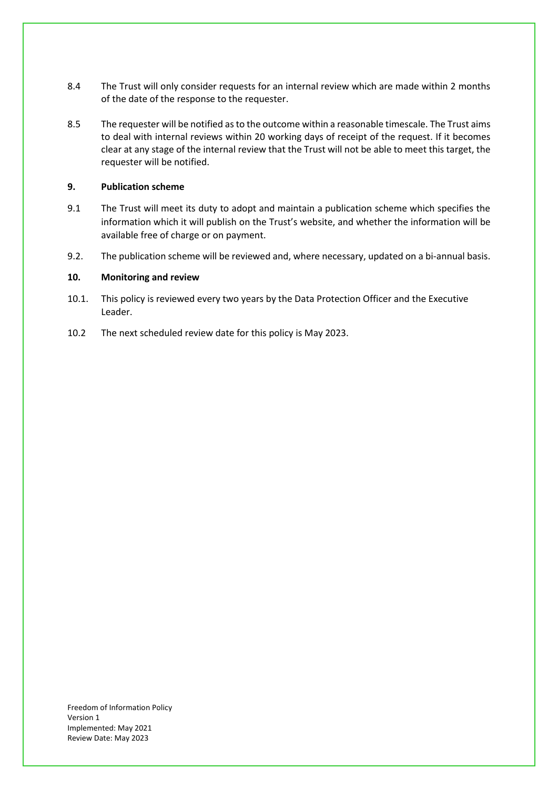- 8.4 The Trust will only consider requests for an internal review which are made within 2 months of the date of the response to the requester.
- 8.5 The requester will be notified as to the outcome within a reasonable timescale. The Trust aims to deal with internal reviews within 20 working days of receipt of the request. If it becomes clear at any stage of the internal review that the Trust will not be able to meet this target, the requester will be notified.

#### **9. Publication scheme**

- 9.1 The Trust will meet its duty to adopt and maintain a publication scheme which specifies the information which it will publish on the Trust's website, and whether the information will be available free of charge or on payment.
- 9.2. The publication scheme will be reviewed and, where necessary, updated on a bi-annual basis.

#### **10. Monitoring and review**

- 10.1. This policy is reviewed every two years by the Data Protection Officer and the Executive Leader.
- 10.2 The next scheduled review date for this policy is May 2023.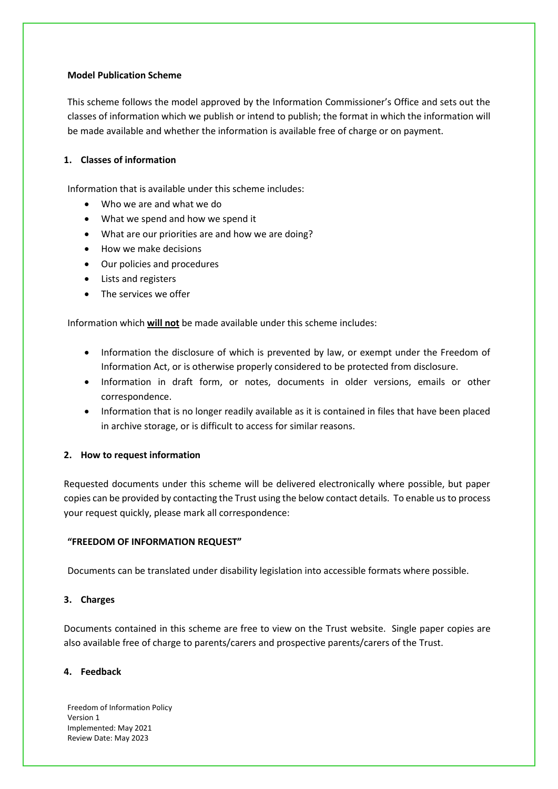# **Model Publication Scheme**

This scheme follows the model approved by the Information Commissioner's Office and sets out the classes of information which we publish or intend to publish; the format in which the information will be made available and whether the information is available free of charge or on payment.

# **1. Classes of information**

Information that is available under this scheme includes:

- Who we are and what we do
- What we spend and how we spend it
- What are our priorities are and how we are doing?
- How we make decisions
- Our policies and procedures
- Lists and registers
- The services we offer

Information which **will not** be made available under this scheme includes:

- Information the disclosure of which is prevented by law, or exempt under the Freedom of Information Act, or is otherwise properly considered to be protected from disclosure.
- Information in draft form, or notes, documents in older versions, emails or other correspondence.
- Information that is no longer readily available as it is contained in files that have been placed in archive storage, or is difficult to access for similar reasons.

# **2. How to request information**

Requested documents under this scheme will be delivered electronically where possible, but paper copies can be provided by contacting the Trust using the below contact details. To enable us to process your request quickly, please mark all correspondence:

# **"FREEDOM OF INFORMATION REQUEST"**

Documents can be translated under disability legislation into accessible formats where possible.

# **3. Charges**

Documents contained in this scheme are free to view on the Trust website.Single paper copies are also available free of charge to parents/carers and prospective parents/carers of the Trust.

# **4. Feedback**